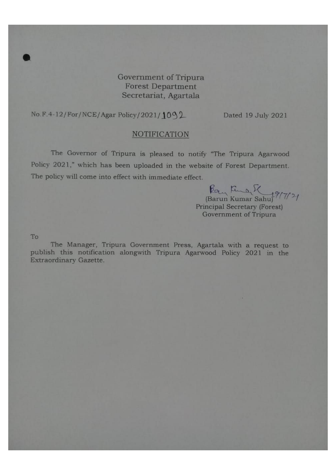Government of Tripura **Forest Department** Secretariat, Agartala

No.F.4-12/For/NCE/Agar Policy/2021/1092

Dated 19 July 2021

#### **NOTIFICATION**

The Governor of Tripura is pleased to notify "The Tripura Agarwood Policy 2021," which has been uploaded in the website of Forest Department. The policy will come into effect with immediate effect.

Pay Runar Sahu 19/7/21 **Principal Secretary (Forest)** Government of Tripura

To

The Manager, Tripura Government Press, Agartala with a request to publish this notification alongwith Tripura Agarwood Policy 2021 in the Extraordinary Gazette.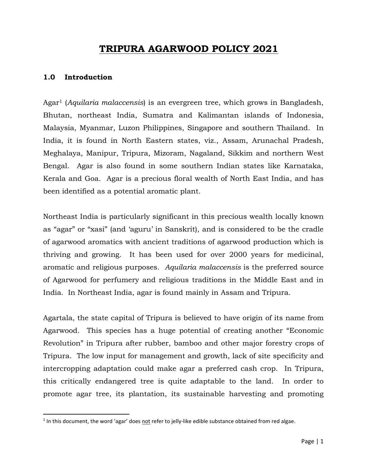# **TRIPURA AGARWOOD POLICY 2021**

### **1.0 Introduction**

l

Agar<sup>1</sup> (*Aquilaria malaccensis*) is an evergreen tree, which grows in Bangladesh, Bhutan, northeast India, Sumatra and Kalimantan islands of Indonesia, Malaysia, Myanmar, Luzon Philippines, Singapore and southern Thailand. In India, it is found in North Eastern states, viz., Assam, Arunachal Pradesh, Meghalaya, Manipur, Tripura, Mizoram, Nagaland, Sikkim and northern West Bengal. Agar is also found in some southern Indian states like Karnataka, Kerala and Goa. Agar is a precious floral wealth of North East India, and has been identified as a potential aromatic plant.

Northeast India is particularly significant in this precious wealth locally known as "agar" or "xasi" (and 'aguru' in Sanskrit), and is considered to be the cradle of agarwood aromatics with ancient traditions of agarwood production which is thriving and growing. It has been used for over 2000 years for medicinal, aromatic and religious purposes. *Aquilaria malaccensis* is the preferred source of Agarwood for perfumery and religious traditions in the Middle East and in India. In Northeast India, agar is found mainly in Assam and Tripura.

Agartala, the state capital of Tripura is believed to have origin of its name from Agarwood. This species has a huge potential of creating another "Economic Revolution" in Tripura after rubber, bamboo and other major forestry crops of Tripura. The low input for management and growth, lack of site specificity and intercropping adaptation could make agar a preferred cash crop. In Tripura, this critically endangered tree is quite adaptable to the land. In order to promote agar tree, its plantation, its sustainable harvesting and promoting

<sup>&</sup>lt;sup>1</sup> In this document, the word 'agar' does not refer to jelly-like edible substance obtained from red algae.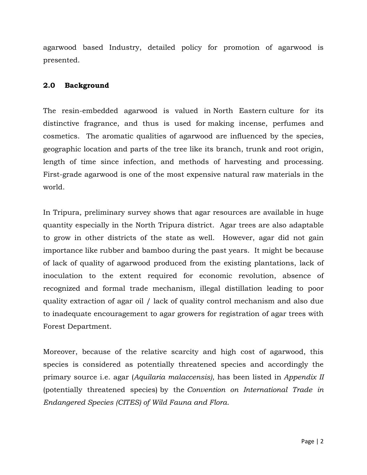agarwood based Industry, detailed policy for promotion of agarwood is presented.

### **2.0 Background**

The resin-embedded agarwood is valued in [North Eastern](https://en.wikipedia.org/wiki/North_Eastern) culture for its distinctive fragrance, and thus is used for making [incense,](https://en.wikipedia.org/wiki/Incense) perfumes and cosmetics. The aromatic qualities of agarwood are influenced by the species, geographic location and parts of the tree like its branch, trunk and root origin, length of time since infection, and methods of harvesting and processing. First-grade agarwood is one of the most expensive natural raw materials in the world.

In Tripura, preliminary survey shows that agar resources are available in huge quantity especially in the North Tripura district. Agar trees are also adaptable to grow in other districts of the state as well. However, agar did not gain importance like rubber and bamboo during the past years. It might be because of lack of quality of agarwood produced from the existing plantations, lack of inoculation to the extent required for economic revolution, absence of recognized and formal trade mechanism, illegal distillation leading to poor quality extraction of agar oil / lack of quality control mechanism and also due to inadequate encouragement to agar growers for registration of agar trees with Forest Department.

Moreover, because of the relative scarcity and high cost of agarwood, this species is considered as potentially threatened species and accordingly the primary source i.e. agar (*[Aquilaria malaccensis\)](https://en.wikipedia.org/wiki/Aquilaria_malaccensis)*, has been listed in *[Appendix II](https://en.wikipedia.org/wiki/Appendix_II)* [\(potentially threatened species\)](https://en.wikipedia.org/wiki/Appendix_II) by the *[Convention on International Trade in](https://en.wikipedia.org/wiki/CITES)  [Endangered Species \(CITES\) of Wild Fauna and Flora](https://en.wikipedia.org/wiki/CITES)*.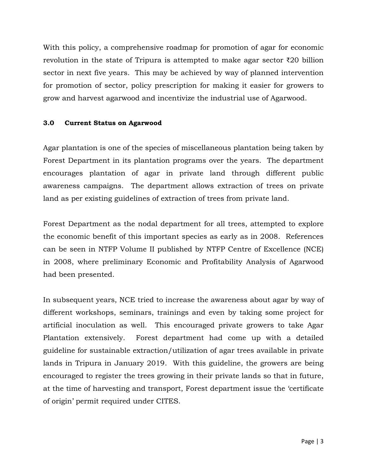With this policy, a comprehensive roadmap for promotion of agar for economic revolution in the state of Tripura is attempted to make agar sector ₹20 billion sector in next five years. This may be achieved by way of planned intervention for promotion of sector, policy prescription for making it easier for growers to grow and harvest agarwood and incentivize the industrial use of Agarwood.

### **3.0 Current Status on Agarwood**

Agar plantation is one of the species of miscellaneous plantation being taken by Forest Department in its plantation programs over the years. The department encourages plantation of agar in private land through different public awareness campaigns. The department allows extraction of trees on private land as per existing guidelines of extraction of trees from private land.

Forest Department as the nodal department for all trees, attempted to explore the economic benefit of this important species as early as in 2008. References can be seen in NTFP Volume II published by NTFP Centre of Excellence (NCE) in 2008, where preliminary Economic and Profitability Analysis of Agarwood had been presented.

In subsequent years, NCE tried to increase the awareness about agar by way of different workshops, seminars, trainings and even by taking some project for artificial inoculation as well. This encouraged private growers to take Agar Plantation extensively. Forest department had come up with a detailed guideline for sustainable extraction/utilization of agar trees available in private lands in Tripura in January 2019. With this guideline, the growers are being encouraged to register the trees growing in their private lands so that in future, at the time of harvesting and transport, Forest department issue the 'certificate of origin' permit required under CITES.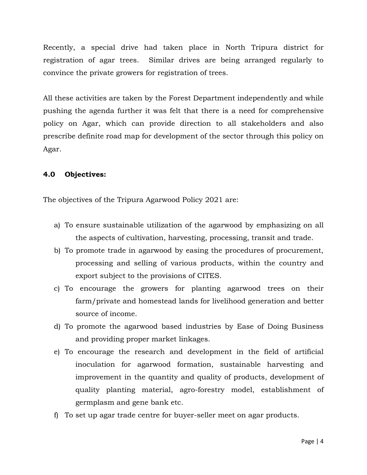Recently, a special drive had taken place in North Tripura district for registration of agar trees. Similar drives are being arranged regularly to convince the private growers for registration of trees.

All these activities are taken by the Forest Department independently and while pushing the agenda further it was felt that there is a need for comprehensive policy on Agar, which can provide direction to all stakeholders and also prescribe definite road map for development of the sector through this policy on Agar.

## **4.0 Objectives:**

The objectives of the Tripura Agarwood Policy 2021 are:

- a) To ensure sustainable utilization of the agarwood by emphasizing on all the aspects of cultivation, harvesting, processing, transit and trade.
- b) To promote trade in agarwood by easing the procedures of procurement, processing and selling of various products, within the country and export subject to the provisions of CITES.
- c) To encourage the growers for planting agarwood trees on their farm/private and homestead lands for livelihood generation and better source of income.
- d) To promote the agarwood based industries by Ease of Doing Business and providing proper market linkages.
- e) To encourage the research and development in the field of artificial inoculation for agarwood formation, sustainable harvesting and improvement in the quantity and quality of products, development of quality planting material, agro-forestry model, establishment of germplasm and gene bank etc.
- f) To set up agar trade centre for buyer-seller meet on agar products.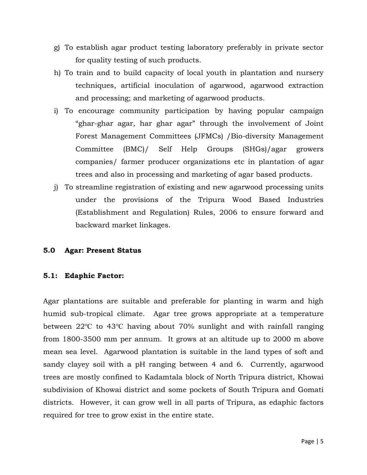- g) To establish agar product testing laboratory preferably in private sector for quality testing of such products.
- h) To train and to build capacity of local youth in plantation and nursery techniques, artificial inoculation of agarwood, agarwood extraction and processing; and marketing of agarwood products.
- i) To encourage community participation by having popular campaign "ghar-ghar agar, har ghar agar" through the involvement of Joint Forest Management Committees (JFMCs) /Bio-diversity Management Committee (BMC)/ Self Help Groups (SHGs)/agar growers companies/ farmer producer organizations etc in plantation of agar trees and also in processing and marketing of agar based products.
- j) To streamline registration of existing and new agarwood processing units under the provisions of the Tripura Wood Based Industries (Establishment and Regulation) Rules, 2006 to ensure forward and backward market linkages.

## **5.0 Agar: Present Status**

### **5.1: Edaphic Factor:**

Agar plantations are suitable and preferable for planting in warm and high humid sub-tropical climate. Agar tree grows appropriate at a temperature between 22℃ to 43℃ having about 70% sunlight and with rainfall ranging from 1800-3500 mm per annum. It grows at an altitude up to 2000 m above mean sea level. Agarwood plantation is suitable in the land types of soft and sandy clayey soil with a pH ranging between 4 and 6. Currently, agarwood trees are mostly confined to Kadamtala block of North Tripura district, Khowai subdivision of Khowai district and some pockets of South Tripura and Gomati districts. However, it can grow well in all parts of Tripura, as edaphic factors required for tree to grow exist in the entire state.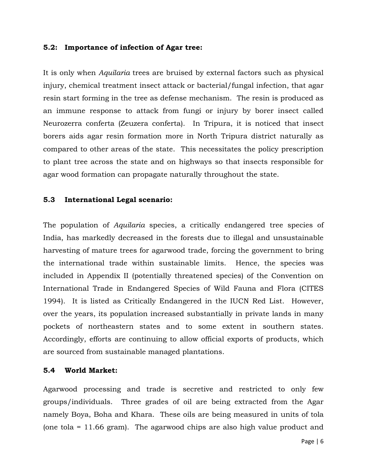#### **5.2: Importance of infection of Agar tree:**

It is only when *Aquilaria* trees are bruised by external factors such as physical injury, chemical treatment insect attack or bacterial/fungal infection, that agar resin start forming in the tree as defense mechanism. The resin is produced as an immune response to attack from fungi or injury by borer insect called Neurozerra conferta (Zeuzera conferta). In Tripura, it is noticed that insect borers aids agar resin formation more in North Tripura district naturally as compared to other areas of the state. This necessitates the policy prescription to plant tree across the state and on highways so that insects responsible for agar wood formation can propagate naturally throughout the state.

#### **5.3 International Legal scenario:**

The population of *Aquilaria* species, a critically endangered tree species of India, has markedly decreased in the forests due to illegal and unsustainable harvesting of mature trees for agarwood trade, forcing the government to bring the international trade within sustainable limits. Hence, the species was included in Appendix II (potentially threatened species) of the Convention on International Trade in Endangered Species of Wild Fauna and Flora (CITES 1994). It is listed as Critically Endangered in the IUCN Red List. However, over the years, its population increased substantially in private lands in many pockets of northeastern states and to some extent in southern states. Accordingly, efforts are continuing to allow official exports of products, which are sourced from sustainable managed plantations.

### **5.4 World Market:**

Agarwood processing and trade is secretive and restricted to only few groups/individuals. Three grades of oil are being extracted from the Agar namely Boya, Boha and Khara. These oils are being measured in units of tola (one tola = 11.66 gram). The agarwood chips are also high value product and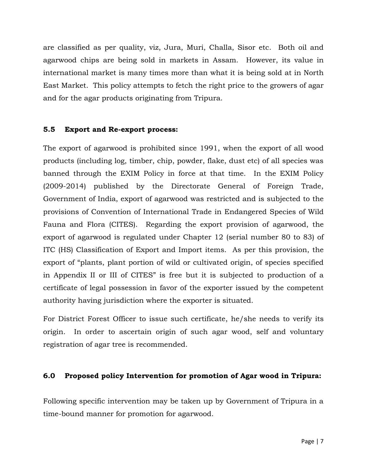are classified as per quality, viz, Jura, Muri, Challa, Sisor etc. Both oil and agarwood chips are being sold in markets in Assam. However, its value in international market is many times more than what it is being sold at in North East Market. This policy attempts to fetch the right price to the growers of agar and for the agar products originating from Tripura.

### **5.5 Export and Re-export process:**

The export of agarwood is prohibited since 1991, when the export of all wood products (including log, timber, chip, powder, flake, dust etc) of all species was banned through the EXIM Policy in force at that time. In the EXIM Policy (2009-2014) published by the Directorate General of Foreign Trade, Government of India, export of agarwood was restricted and is subjected to the provisions of Convention of International Trade in Endangered Species of Wild Fauna and Flora (CITES). Regarding the export provision of agarwood, the export of agarwood is regulated under Chapter 12 (serial number 80 to 83) of ITC (HS) Classification of Export and Import items. As per this provision, the export of "plants, plant portion of wild or cultivated origin, of species specified in Appendix II or III of CITES" is free but it is subjected to production of a certificate of legal possession in favor of the exporter issued by the competent authority having jurisdiction where the exporter is situated.

For District Forest Officer to issue such certificate, he/she needs to verify its origin. In order to ascertain origin of such agar wood, self and voluntary registration of agar tree is recommended.

### **6.0 Proposed policy Intervention for promotion of Agar wood in Tripura:**

Following specific intervention may be taken up by Government of Tripura in a time-bound manner for promotion for agarwood.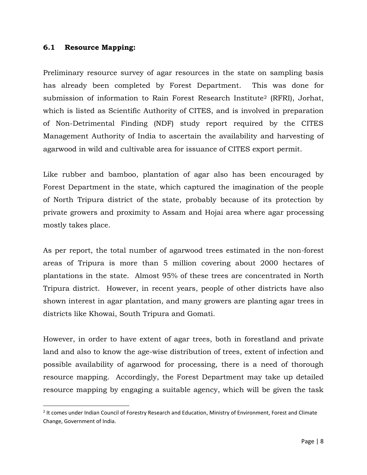#### **6.1 Resource Mapping:**

 $\overline{\phantom{a}}$ 

Preliminary resource survey of agar resources in the state on sampling basis has already been completed by Forest Department. This was done for submission of information to Rain Forest Research Institute<sup>2</sup> (RFRI), Jorhat, which is listed as Scientific Authority of CITES, and is involved in preparation of Non-Detrimental Finding (NDF) study report required by the CITES Management Authority of India to ascertain the availability and harvesting of agarwood in wild and cultivable area for issuance of CITES export permit.

Like rubber and bamboo, plantation of agar also has been encouraged by Forest Department in the state, which captured the imagination of the people of North Tripura district of the state, probably because of its protection by private growers and proximity to Assam and Hojai area where agar processing mostly takes place.

As per report, the total number of agarwood trees estimated in the non-forest areas of Tripura is more than 5 million covering about 2000 hectares of plantations in the state. Almost 95% of these trees are concentrated in North Tripura district. However, in recent years, people of other districts have also shown interest in agar plantation, and many growers are planting agar trees in districts like Khowai, South Tripura and Gomati.

However, in order to have extent of agar trees, both in forestland and private land and also to know the age-wise distribution of trees, extent of infection and possible availability of agarwood for processing, there is a need of thorough resource mapping. Accordingly, the Forest Department may take up detailed resource mapping by engaging a suitable agency, which will be given the task

<sup>&</sup>lt;sup>2</sup> It comes under Indian Council of Forestry Research and Education, Ministry of Environment, Forest and Climate Change, Government of India.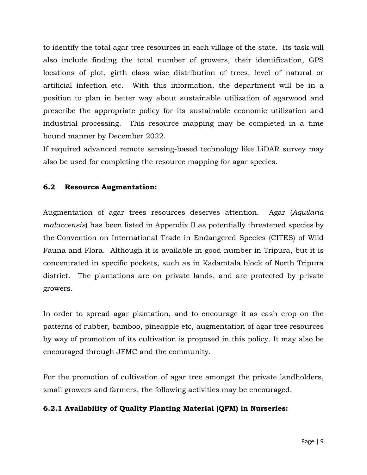to identify the total agar tree resources in each village of the state. Its task will also include finding the total number of growers, their identification, GPS locations of plot, girth class wise distribution of trees, level of natural or artificial infection etc. With this information, the department will be in a position to plan in better way about sustainable utilization of agarwood and prescribe the appropriate policy for its sustainable economic utilization and industrial processing. This resource mapping may be completed in a time bound manner by December 2022.

If required advanced remote sensing-based technology like LiDAR survey may also be used for completing the resource mapping for agar species.

## **6.2 Resource Augmentation:**

Augmentation of agar trees resources deserves attention. Agar (*[Aquilaria](https://en.wikipedia.org/wiki/Aquilaria_malaccensis)  [malaccensis](https://en.wikipedia.org/wiki/Aquilaria_malaccensis)*) has been listed in [Appendix II as potentially threatened species](https://en.wikipedia.org/wiki/Appendix_II) by the [Convention on International Trade in Endangered Species \(CITES\) of Wild](https://en.wikipedia.org/wiki/CITES)  [Fauna and Flora.](https://en.wikipedia.org/wiki/CITES) Although it is available in good number in Tripura, but it is concentrated in specific pockets, such as in Kadamtala block of North Tripura district. The plantations are on private lands, and are protected by private growers.

In order to spread agar plantation, and to encourage it as cash crop on the patterns of rubber, bamboo, pineapple etc, augmentation of agar tree resources by way of promotion of its cultivation is proposed in this policy. It may also be encouraged through JFMC and the community.

For the promotion of cultivation of agar tree amongst the private landholders, small growers and farmers, the following activities may be encouraged.

## **6.2.1 Availability of Quality Planting Material (QPM) in Nurseries:**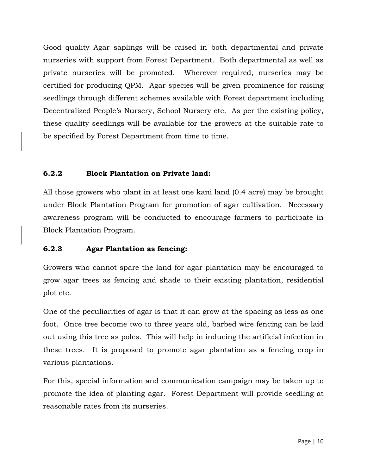Good quality Agar saplings will be raised in both departmental and private nurseries with support from Forest Department. Both departmental as well as private nurseries will be promoted. Wherever required, nurseries may be certified for producing QPM. Agar species will be given prominence for raising seedlings through different schemes available with Forest department including Decentralized People's Nursery, School Nursery etc. As per the existing policy, these quality seedlings will be available for the growers at the suitable rate to be specified by Forest Department from time to time.

## **6.2.2 Block Plantation on Private land:**

All those growers who plant in at least one kani land (0.4 acre) may be brought under Block Plantation Program for promotion of agar cultivation. Necessary awareness program will be conducted to encourage farmers to participate in Block Plantation Program.

## **6.2.3 Agar Plantation as fencing:**

Growers who cannot spare the land for agar plantation may be encouraged to grow agar trees as fencing and shade to their existing plantation, residential plot etc.

One of the peculiarities of agar is that it can grow at the spacing as less as one foot. Once tree become two to three years old, barbed wire fencing can be laid out using this tree as poles. This will help in inducing the artificial infection in these trees. It is proposed to promote agar plantation as a fencing crop in various plantations.

For this, special information and communication campaign may be taken up to promote the idea of planting agar. Forest Department will provide seedling at reasonable rates from its nurseries.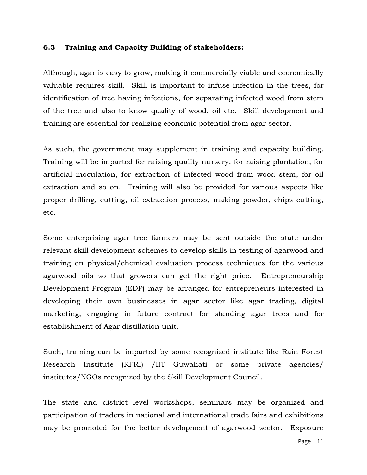#### **6.3 Training and Capacity Building of stakeholders:**

Although, agar is easy to grow, making it commercially viable and economically valuable requires skill. Skill is important to infuse infection in the trees, for identification of tree having infections, for separating infected wood from stem of the tree and also to know quality of wood, oil etc. Skill development and training are essential for realizing economic potential from agar sector.

As such, the government may supplement in training and capacity building. Training will be imparted for raising quality nursery, for raising plantation, for artificial inoculation, for extraction of infected wood from wood stem, for oil extraction and so on. Training will also be provided for various aspects like proper drilling, cutting, oil extraction process, making powder, chips cutting, etc.

Some enterprising agar tree farmers may be sent outside the state under relevant skill development schemes to develop skills in testing of agarwood and training on physical/chemical evaluation process techniques for the various agarwood oils so that growers can get the right price. Entrepreneurship Development Program (EDP) may be arranged for entrepreneurs interested in developing their own businesses in agar sector like agar trading, digital marketing, engaging in future contract for standing agar trees and for establishment of Agar distillation unit.

Such, training can be imparted by some recognized institute like Rain Forest Research Institute (RFRI) /IIT Guwahati or some private agencies/ institutes/NGOs recognized by the Skill Development Council.

The state and district level workshops, seminars may be organized and participation of traders in national and international trade fairs and exhibitions may be promoted for the better development of agarwood sector. Exposure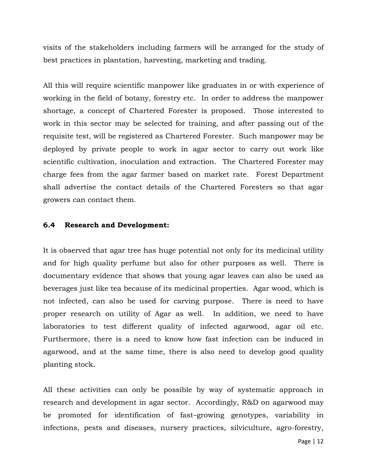visits of the stakeholders including farmers will be arranged for the study of best practices in plantation, harvesting, marketing and trading.

All this will require scientific manpower like graduates in or with experience of working in the field of botany, forestry etc. In order to address the manpower shortage, a concept of Chartered Forester is proposed. Those interested to work in this sector may be selected for training, and after passing out of the requisite test, will be registered as Chartered Forester. Such manpower may be deployed by private people to work in agar sector to carry out work like scientific cultivation, inoculation and extraction. The Chartered Forester may charge fees from the agar farmer based on market rate. Forest Department shall advertise the contact details of the Chartered Foresters so that agar growers can contact them.

#### **6.4 Research and Development:**

It is observed that agar tree has huge potential not only for its medicinal utility and for high quality perfume but also for other purposes as well. There is documentary evidence that shows that young agar leaves can also be used as beverages just like tea because of its medicinal properties. Agar wood, which is not infected, can also be used for carving purpose. There is need to have proper research on utility of Agar as well. In addition, we need to have laboratories to test different quality of infected agarwood, agar oil etc. Furthermore, there is a need to know how fast infection can be induced in agarwood, and at the same time, there is also need to develop good quality planting stock.

All these activities can only be possible by way of systematic approach in research and development in agar sector. Accordingly, R&D on agarwood may be promoted for identification of fast–growing genotypes, variability in infections, pests and diseases, nursery practices, silviculture, agro-forestry,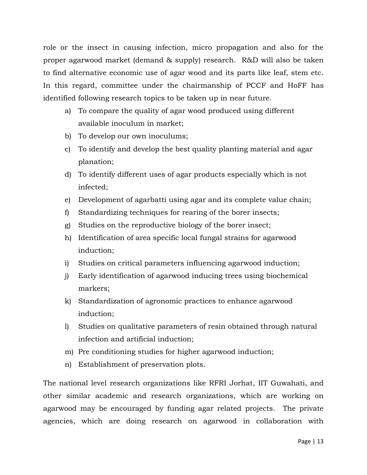role or the insect in causing infection, micro propagation and also for the proper agarwood market (demand & supply) research. R&D will also be taken to find alternative economic use of agar wood and its parts like leaf, stem etc. In this regard, committee under the chairmanship of PCCF and HoFF has identified following research topics to be taken up in near future.

- a) To compare the quality of agar wood produced using different available inoculum in market;
- b) To develop our own inoculums;
- c) To identify and develop the best quality planting material and agar planation;
- d) To identify different uses of agar products especially which is not infected;
- e) Development of agarbatti using agar and its complete value chain;
- f) Standardizing techniques for rearing of the borer insects;
- g) Studies on the reproductive biology of the borer insect;
- h) Identification of area specific local fungal strains for agarwood induction;
- i) Studies on critical parameters influencing agarwood induction;
- j) Early identification of agarwood inducing trees using biochemical markers;
- k) Standardization of agronomic practices to enhance agarwood induction;
- l) Studies on qualitative parameters of resin obtained through natural infection and artificial induction;
- m) Pre conditioning studies for higher agarwood induction;
- n) Establishment of preservation plots.

The national level research organizations like RFRI Jorhat, IIT Guwahati, and other similar academic and research organizations, which are working on agarwood may be encouraged by funding agar related projects. The private agencies, which are doing research on agarwood in collaboration with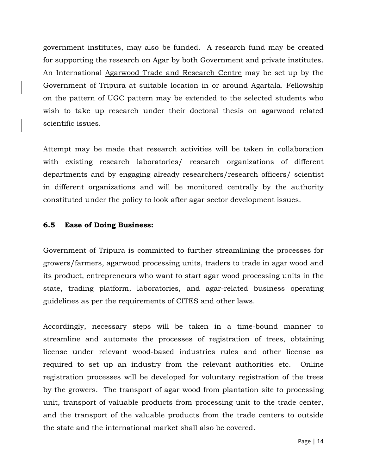government institutes, may also be funded. A research fund may be created for supporting the research on Agar by both Government and private institutes. An International Agarwood Trade and Research Centre may be set up by the Government of Tripura at suitable location in or around Agartala. Fellowship on the pattern of UGC pattern may be extended to the selected students who wish to take up research under their doctoral thesis on agarwood related scientific issues.

Attempt may be made that research activities will be taken in collaboration with existing research laboratories/ research organizations of different departments and by engaging already researchers/research officers/ scientist in different organizations and will be monitored centrally by the authority constituted under the policy to look after agar sector development issues.

#### **6.5 Ease of Doing Business:**

Government of Tripura is committed to further streamlining the processes for growers/farmers, agarwood processing units, traders to trade in agar wood and its product, entrepreneurs who want to start agar wood processing units in the state, trading platform, laboratories, and agar-related business operating guidelines as per the requirements of CITES and other laws.

Accordingly, necessary steps will be taken in a time-bound manner to streamline and automate the processes of registration of trees, obtaining license under relevant wood-based industries rules and other license as required to set up an industry from the relevant authorities etc. Online registration processes will be developed for voluntary registration of the trees by the growers. The transport of agar wood from plantation site to processing unit, transport of valuable products from processing unit to the trade center, and the transport of the valuable products from the trade centers to outside the state and the international market shall also be covered.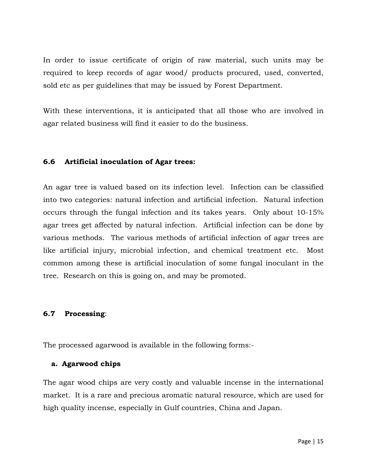In order to issue certificate of origin of raw material, such units may be required to keep records of agar wood/ products procured, used, converted, sold etc as per guidelines that may be issued by Forest Department.

With these interventions, it is anticipated that all those who are involved in agar related business will find it easier to do the business.

### **6.6 Artificial inoculation of Agar trees:**

An agar tree is valued based on its infection level. Infection can be classified into two categories: natural infection and artificial infection. Natural infection occurs through the fungal infection and its takes years. Only about 10-15% agar trees get affected by natural infection. Artificial infection can be done by various methods. The various methods of artificial infection of agar trees are like artificial injury, microbial infection, and chemical treatment etc. Most common among these is artificial inoculation of some fungal inoculant in the tree. Research on this is going on, and may be promoted.

#### **6.7 Processing**:

The processed agarwood is available in the following forms:-

#### **a. Agarwood chips**

The agar wood chips are very costly and valuable incense in the international market. It is a rare and precious aromatic natural resource, which are used for high quality incense, especially in Gulf countries, China and Japan.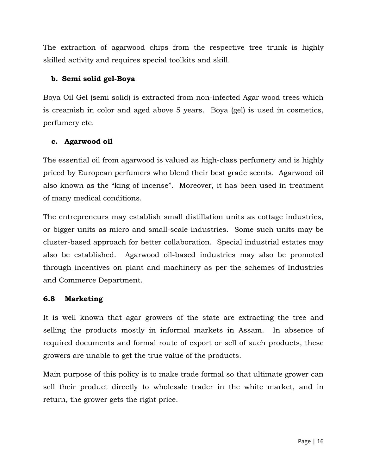The extraction of agarwood chips from the respective tree trunk is highly skilled activity and requires special toolkits and skill.

## **b. Semi solid gel-Boya**

Boya Oil Gel (semi solid) is extracted from non-infected Agar wood trees which is creamish in color and aged above 5 years. Boya (gel) is used in cosmetics, perfumery etc.

## **c. Agarwood oil**

The essential oil from agarwood is valued as high-class perfumery and is highly priced by European perfumers who blend their best grade scents. Agarwood oil also known as the "king of incense". Moreover, it has been used in treatment of many medical conditions.

The entrepreneurs may establish small distillation units as cottage industries, or bigger units as micro and small-scale industries. Some such units may be cluster-based approach for better collaboration. Special industrial estates may also be established. Agarwood oil-based industries may also be promoted through incentives on plant and machinery as per the schemes of Industries and Commerce Department.

## **6.8 Marketing**

It is well known that agar growers of the state are extracting the tree and selling the products mostly in informal markets in Assam. In absence of required documents and formal route of export or sell of such products, these growers are unable to get the true value of the products.

Main purpose of this policy is to make trade formal so that ultimate grower can sell their product directly to wholesale trader in the white market, and in return, the grower gets the right price.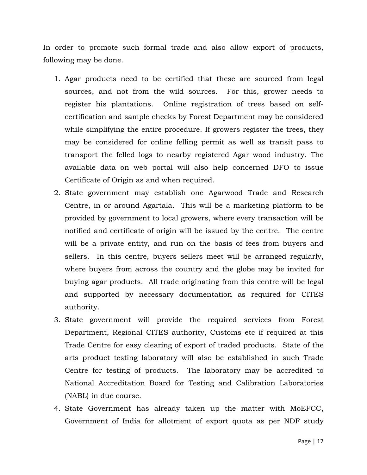In order to promote such formal trade and also allow export of products, following may be done.

- 1. Agar products need to be certified that these are sourced from legal sources, and not from the wild sources. For this, grower needs to register his plantations. Online registration of trees based on selfcertification and sample checks by Forest Department may be considered while simplifying the entire procedure. If growers register the trees, they may be considered for online felling permit as well as transit pass to transport the felled logs to nearby registered Agar wood industry. The available data on web portal will also help concerned DFO to issue Certificate of Origin as and when required.
- 2. State government may establish one Agarwood Trade and Research Centre, in or around Agartala. This will be a marketing platform to be provided by government to local growers, where every transaction will be notified and certificate of origin will be issued by the centre. The centre will be a private entity, and run on the basis of fees from buyers and sellers. In this centre, buyers sellers meet will be arranged regularly, where buyers from across the country and the globe may be invited for buying agar products. All trade originating from this centre will be legal and supported by necessary documentation as required for CITES authority.
- 3. State government will provide the required services from Forest Department, Regional CITES authority, Customs etc if required at this Trade Centre for easy clearing of export of traded products. State of the arts product testing laboratory will also be established in such Trade Centre for testing of products. The laboratory may be accredited to National Accreditation Board for Testing and Calibration Laboratories (NABL) in due course.
- 4. State Government has already taken up the matter with MoEFCC, Government of India for allotment of export quota as per NDF study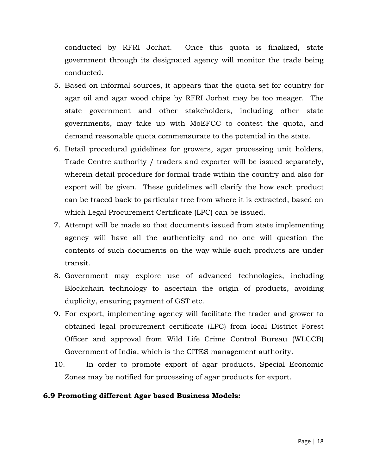conducted by RFRI Jorhat. Once this quota is finalized, state government through its designated agency will monitor the trade being conducted.

- 5. Based on informal sources, it appears that the quota set for country for agar oil and agar wood chips by RFRI Jorhat may be too meager. The state government and other stakeholders, including other state governments, may take up with MoEFCC to contest the quota, and demand reasonable quota commensurate to the potential in the state.
- 6. Detail procedural guidelines for growers, agar processing unit holders, Trade Centre authority / traders and exporter will be issued separately, wherein detail procedure for formal trade within the country and also for export will be given. These guidelines will clarify the how each product can be traced back to particular tree from where it is extracted, based on which Legal Procurement Certificate (LPC) can be issued.
- 7. Attempt will be made so that documents issued from state implementing agency will have all the authenticity and no one will question the contents of such documents on the way while such products are under transit.
- 8. Government may explore use of advanced technologies, including Blockchain technology to ascertain the origin of products, avoiding duplicity, ensuring payment of GST etc.
- 9. For export, implementing agency will facilitate the trader and grower to obtained legal procurement certificate (LPC) from local District Forest Officer and approval from Wild Life Crime Control Bureau (WLCCB) Government of India, which is the CITES management authority.
- 10. In order to promote export of agar products, Special Economic Zones may be notified for processing of agar products for export.

## **6.9 Promoting different Agar based Business Models:**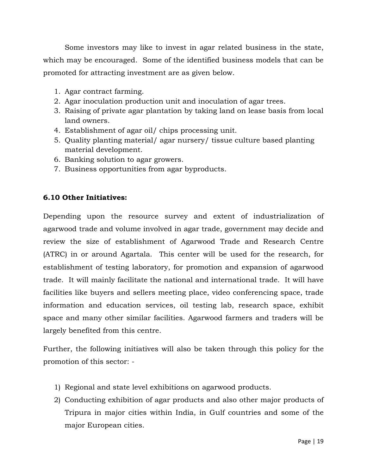Some investors may like to invest in agar related business in the state, which may be encouraged. Some of the identified business models that can be promoted for attracting investment are as given below.

- 1. Agar contract farming.
- 2. Agar inoculation production unit and inoculation of agar trees.
- 3. Raising of private agar plantation by taking land on lease basis from local land owners.
- 4. Establishment of agar oil/ chips processing unit.
- 5. Quality planting material/ agar nursery/ tissue culture based planting material development.
- 6. Banking solution to agar growers.
- 7. Business opportunities from agar byproducts.

## **6.10 Other Initiatives:**

Depending upon the resource survey and extent of industrialization of agarwood trade and volume involved in agar trade, government may decide and review the size of establishment of Agarwood Trade and Research Centre (ATRC) in or around Agartala. This center will be used for the research, for establishment of testing laboratory, for promotion and expansion of agarwood trade. It will mainly facilitate the national and international trade. It will have facilities like buyers and sellers meeting place, video conferencing space, trade information and education services, oil testing lab, research space, exhibit space and many other similar facilities. Agarwood farmers and traders will be largely benefited from this centre.

Further, the following initiatives will also be taken through this policy for the promotion of this sector: -

- 1) Regional and state level exhibitions on agarwood products.
- 2) Conducting exhibition of agar products and also other major products of Tripura in major cities within India, in Gulf countries and some of the major European cities.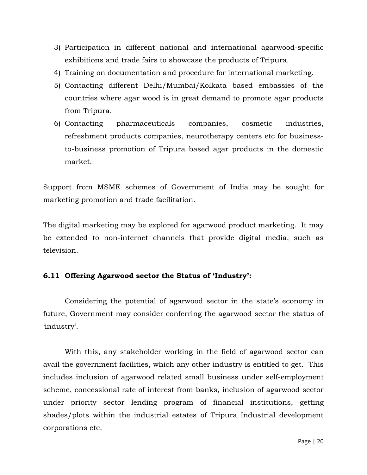- 3) Participation in different national and international agarwood-specific exhibitions and trade fairs to showcase the products of Tripura.
- 4) Training on documentation and procedure for international marketing.
- 5) Contacting different Delhi/Mumbai/Kolkata based embassies of the countries where agar wood is in great demand to promote agar products from Tripura.
- 6) Contacting pharmaceuticals companies, cosmetic industries, refreshment products companies, neurotherapy centers etc for businessto-business promotion of Tripura based agar products in the domestic market.

Support from MSME schemes of Government of India may be sought for marketing promotion and trade facilitation.

The digital marketing may be explored for agarwood product marketing. It may be extended to non-internet channels that provide digital media, such as television.

## **6.11 Offering Agarwood sector the Status of 'Industry':**

Considering the potential of agarwood sector in the state's economy in future, Government may consider conferring the agarwood sector the status of 'industry'.

With this, any stakeholder working in the field of agarwood sector can avail the government facilities, which any other industry is entitled to get. This includes inclusion of agarwood related small business under self-employment scheme, concessional rate of interest from banks, inclusion of agarwood sector under priority sector lending program of financial institutions, getting shades/plots within the industrial estates of Tripura Industrial development corporations etc.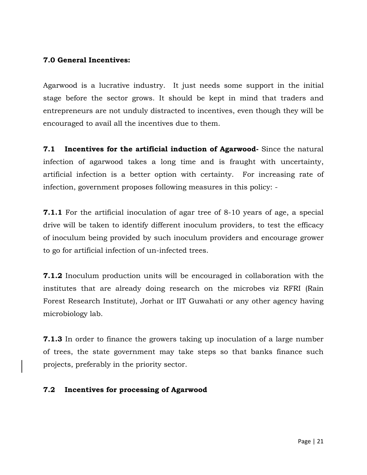### **7.0 General Incentives:**

Agarwood is a lucrative industry. It just needs some support in the initial stage before the sector grows. It should be kept in mind that traders and entrepreneurs are not unduly distracted to incentives, even though they will be encouraged to avail all the incentives due to them.

**7.1 Incentives for the artificial induction of Agarwood-** Since the natural infection of agarwood takes a long time and is fraught with uncertainty, artificial infection is a better option with certainty. For increasing rate of infection, government proposes following measures in this policy: -

**7.1.1** For the artificial inoculation of agar tree of 8-10 years of age, a special drive will be taken to identify different inoculum providers, to test the efficacy of inoculum being provided by such inoculum providers and encourage grower to go for artificial infection of un-infected trees.

**7.1.2** Inoculum production units will be encouraged in collaboration with the institutes that are already doing research on the microbes viz RFRI (Rain Forest Research Institute), Jorhat or IIT Guwahati or any other agency having microbiology lab.

**7.1.3** In order to finance the growers taking up inoculation of a large number of trees, the state government may take steps so that banks finance such projects, preferably in the priority sector.

### **7.2 Incentives for processing of Agarwood**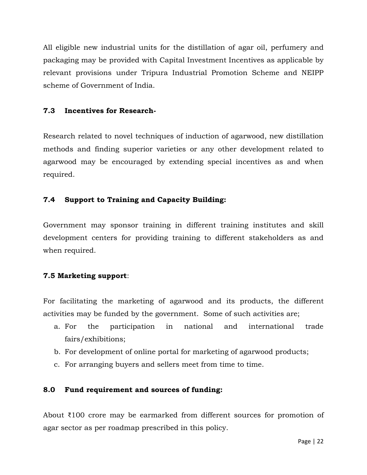All eligible new industrial units for the distillation of agar oil, perfumery and packaging may be provided with Capital Investment Incentives as applicable by relevant provisions under Tripura Industrial Promotion Scheme and NEIPP scheme of Government of India.

### **7.3 Incentives for Research-**

Research related to novel techniques of induction of agarwood, new distillation methods and finding superior varieties or any other development related to agarwood may be encouraged by extending special incentives as and when required.

## **7.4 Support to Training and Capacity Building:**

Government may sponsor training in different training institutes and skill development centers for providing training to different stakeholders as and when required.

## **7.5 Marketing support**:

For facilitating the marketing of agarwood and its products, the different activities may be funded by the government. Some of such activities are;

- a. For the participation in national and international trade fairs/exhibitions;
- b. For development of online portal for marketing of agarwood products;
- c. For arranging buyers and sellers meet from time to time.

## **8.0 Fund requirement and sources of funding:**

About ₹100 crore may be earmarked from different sources for promotion of agar sector as per roadmap prescribed in this policy.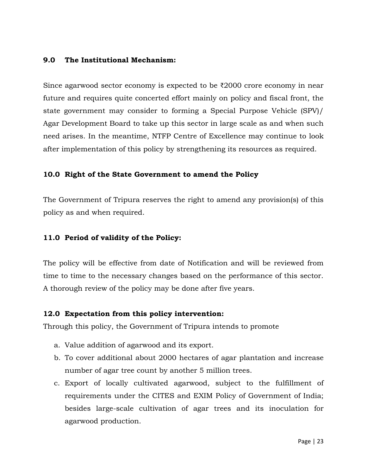### **9.0 The Institutional Mechanism:**

Since agarwood sector economy is expected to be ₹2000 crore economy in near future and requires quite concerted effort mainly on policy and fiscal front, the state government may consider to forming a Special Purpose Vehicle (SPV)/ Agar Development Board to take up this sector in large scale as and when such need arises. In the meantime, NTFP Centre of Excellence may continue to look after implementation of this policy by strengthening its resources as required.

### **10.0 Right of the State Government to amend the Policy**

The Government of Tripura reserves the right to amend any provision(s) of this policy as and when required.

### **11.0 Period of validity of the Policy:**

The policy will be effective from date of Notification and will be reviewed from time to time to the necessary changes based on the performance of this sector. A thorough review of the policy may be done after five years.

### **12.0 Expectation from this policy intervention:**

Through this policy, the Government of Tripura intends to promote

- a. Value addition of agarwood and its export.
- b. To cover additional about 2000 hectares of agar plantation and increase number of agar tree count by another 5 million trees.
- c. Export of locally cultivated agarwood, subject to the fulfillment of requirements under the CITES and EXIM Policy of Government of India; besides large-scale cultivation of agar trees and its inoculation for agarwood production.